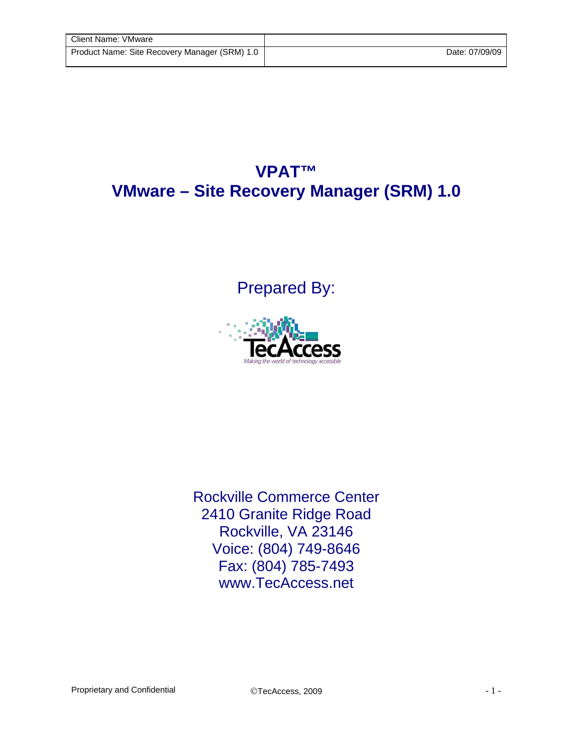## **VPAT™ VMware – Site Recovery Manager (SRM) 1.0**

Prepared By:



Rockville Commerce Center 2410 Granite Ridge Road Rockville, VA 23146 Voice: (804) 749-8646 Fax: (804) 785-7493 www.TecAccess.net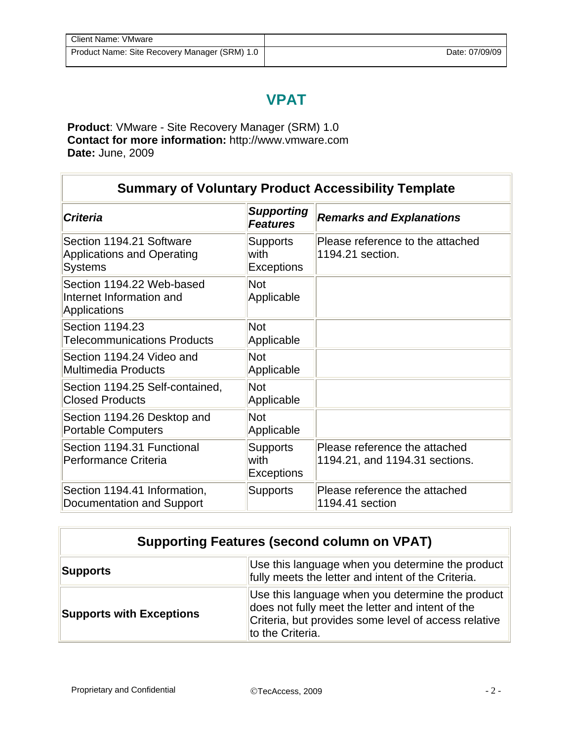## **VPAT**

**Product**: VMware - Site Recovery Manager (SRM) 1.0 **Contact for more information:** http://www.vmware.com **Date:** June, 2009

Ī

| <b>Summary of Voluntary Product Accessibility Template</b>                      |                                              |                                                                 |
|---------------------------------------------------------------------------------|----------------------------------------------|-----------------------------------------------------------------|
| <b>Criteria</b>                                                                 | <b>Supporting</b><br><b>Features</b>         | <b>Remarks and Explanations</b>                                 |
| Section 1194.21 Software<br><b>Applications and Operating</b><br><b>Systems</b> | <b>Supports</b><br>with<br><b>Exceptions</b> | Please reference to the attached<br>1194.21 section.            |
| Section 1194.22 Web-based<br>Internet Information and<br>Applications           | <b>Not</b><br>Applicable                     |                                                                 |
| Section 1194.23<br><b>Telecommunications Products</b>                           | <b>Not</b><br>Applicable                     |                                                                 |
| Section 1194.24 Video and<br><b>Multimedia Products</b>                         | <b>Not</b><br>Applicable                     |                                                                 |
| Section 1194.25 Self-contained,<br><b>Closed Products</b>                       | <b>Not</b><br>Applicable                     |                                                                 |
| Section 1194.26 Desktop and<br><b>Portable Computers</b>                        | <b>Not</b><br>Applicable                     |                                                                 |
| Section 1194.31 Functional<br>Performance Criteria                              | <b>Supports</b><br>with<br><b>Exceptions</b> | Please reference the attached<br>1194.21, and 1194.31 sections. |
| Section 1194.41 Information,<br>Documentation and Support                       | <b>Supports</b>                              | Please reference the attached<br>1194.41 section                |

| <b>Supporting Features (second column on VPAT)</b> |                                                                                                                                                                                  |  |
|----------------------------------------------------|----------------------------------------------------------------------------------------------------------------------------------------------------------------------------------|--|
| Supports                                           | Use this language when you determine the product<br>fully meets the letter and intent of the Criteria.                                                                           |  |
| <b>Supports with Exceptions</b>                    | Use this language when you determine the product<br>does not fully meet the letter and intent of the<br>Criteria, but provides some level of access relative<br>to the Criteria. |  |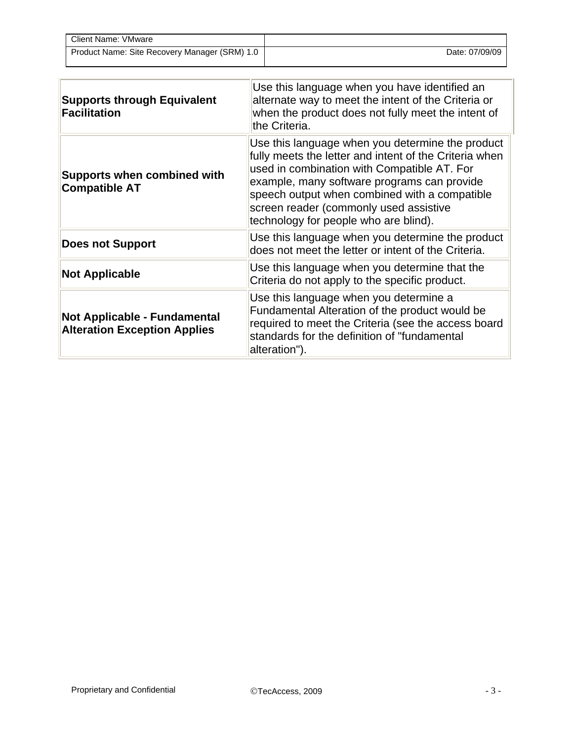| Client Name: VMware                           |                |
|-----------------------------------------------|----------------|
| Product Name: Site Recovery Manager (SRM) 1.0 | Date: 07/09/09 |

| <b>Supports through Equivalent</b><br><b>Facilitation</b>                  | Use this language when you have identified an<br>alternate way to meet the intent of the Criteria or<br>when the product does not fully meet the intent of<br>the Criteria.                                                                                                                                                                  |
|----------------------------------------------------------------------------|----------------------------------------------------------------------------------------------------------------------------------------------------------------------------------------------------------------------------------------------------------------------------------------------------------------------------------------------|
| <b>Supports when combined with</b><br><b>Compatible AT</b>                 | Use this language when you determine the product<br>fully meets the letter and intent of the Criteria when<br>used in combination with Compatible AT. For<br>example, many software programs can provide<br>speech output when combined with a compatible<br>screen reader (commonly used assistive<br>technology for people who are blind). |
| <b>Does not Support</b>                                                    | Use this language when you determine the product<br>does not meet the letter or intent of the Criteria.                                                                                                                                                                                                                                      |
| <b>Not Applicable</b>                                                      | Use this language when you determine that the<br>Criteria do not apply to the specific product.                                                                                                                                                                                                                                              |
| <b>Not Applicable - Fundamental</b><br><b>Alteration Exception Applies</b> | Use this language when you determine a<br>Fundamental Alteration of the product would be<br>required to meet the Criteria (see the access board<br>standards for the definition of "fundamental<br>alteration").                                                                                                                             |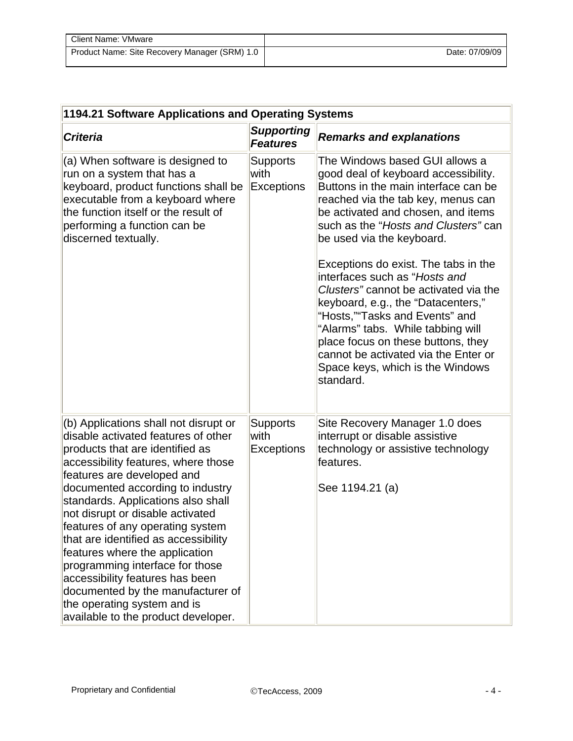| Client Name: VMware                           |                |
|-----------------------------------------------|----------------|
| Product Name: Site Recovery Manager (SRM) 1.0 | Date: 07/09/09 |

| 1194.21 Software Applications and Operating Systems                                                                                                                                                                                                                                                                                                                                                                                                                                                                                                                                               |                                              |                                                                                                                                                                                                                                                                                                                                                                                                                                                                                                                                                                                                                               |  |
|---------------------------------------------------------------------------------------------------------------------------------------------------------------------------------------------------------------------------------------------------------------------------------------------------------------------------------------------------------------------------------------------------------------------------------------------------------------------------------------------------------------------------------------------------------------------------------------------------|----------------------------------------------|-------------------------------------------------------------------------------------------------------------------------------------------------------------------------------------------------------------------------------------------------------------------------------------------------------------------------------------------------------------------------------------------------------------------------------------------------------------------------------------------------------------------------------------------------------------------------------------------------------------------------------|--|
| <b>Criteria</b>                                                                                                                                                                                                                                                                                                                                                                                                                                                                                                                                                                                   | <b>Supporting</b><br><b>Features</b>         | <b>Remarks and explanations</b>                                                                                                                                                                                                                                                                                                                                                                                                                                                                                                                                                                                               |  |
| (a) When software is designed to<br>run on a system that has a<br>keyboard, product functions shall be<br>executable from a keyboard where<br>the function itself or the result of<br>performing a function can be<br>discerned textually.                                                                                                                                                                                                                                                                                                                                                        | <b>Supports</b><br>with<br><b>Exceptions</b> | The Windows based GUI allows a<br>good deal of keyboard accessibility.<br>Buttons in the main interface can be<br>reached via the tab key, menus can<br>be activated and chosen, and items<br>such as the "Hosts and Clusters" can<br>be used via the keyboard.<br>Exceptions do exist. The tabs in the<br>interfaces such as "Hosts and<br>Clusters" cannot be activated via the<br>keyboard, e.g., the "Datacenters,"<br>"Hosts,""Tasks and Events" and<br>"Alarms" tabs. While tabbing will<br>place focus on these buttons, they<br>cannot be activated via the Enter or<br>Space keys, which is the Windows<br>standard. |  |
| (b) Applications shall not disrupt or<br>disable activated features of other<br>products that are identified as<br>accessibility features, where those<br>features are developed and<br>documented according to industry<br>standards. Applications also shall<br>not disrupt or disable activated<br>features of any operating system<br>that are identified as accessibility<br>features where the application<br>programming interface for those<br>accessibility features has been<br>documented by the manufacturer of<br>the operating system and is<br>available to the product developer. | <b>Supports</b><br>with<br><b>Exceptions</b> | Site Recovery Manager 1.0 does<br>interrupt or disable assistive<br>technology or assistive technology<br>features.<br>See 1194.21 (a)                                                                                                                                                                                                                                                                                                                                                                                                                                                                                        |  |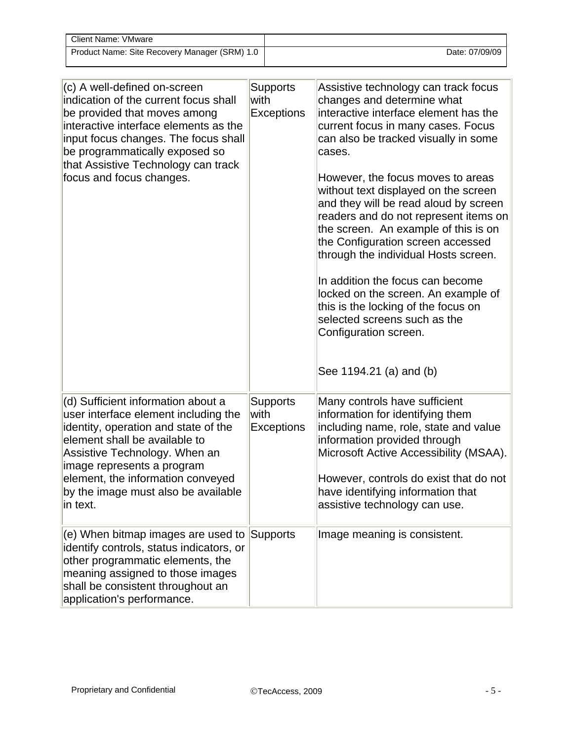| Client Name: VMware                           |                |
|-----------------------------------------------|----------------|
| Product Name: Site Recovery Manager (SRM) 1.0 | Date: 07/09/09 |

| (c) A well-defined on-screen<br>indication of the current focus shall<br>be provided that moves among<br>interactive interface elements as the<br>input focus changes. The focus shall<br>be programmatically exposed so<br>that Assistive Technology can track<br>focus and focus changes.                | <b>Supports</b><br>with<br><b>Exceptions</b> | Assistive technology can track focus<br>changes and determine what<br>interactive interface element has the<br>current focus in many cases. Focus<br>can also be tracked visually in some<br>cases.<br>However, the focus moves to areas<br>without text displayed on the screen<br>and they will be read aloud by screen<br>readers and do not represent items on<br>the screen. An example of this is on<br>the Configuration screen accessed<br>through the individual Hosts screen.<br>In addition the focus can become<br>locked on the screen. An example of<br>this is the locking of the focus on<br>selected screens such as the<br>Configuration screen.<br>See 1194.21 (a) and (b) |
|------------------------------------------------------------------------------------------------------------------------------------------------------------------------------------------------------------------------------------------------------------------------------------------------------------|----------------------------------------------|-----------------------------------------------------------------------------------------------------------------------------------------------------------------------------------------------------------------------------------------------------------------------------------------------------------------------------------------------------------------------------------------------------------------------------------------------------------------------------------------------------------------------------------------------------------------------------------------------------------------------------------------------------------------------------------------------|
| (d) Sufficient information about a<br>user interface element including the<br>identity, operation and state of the<br>element shall be available to<br>Assistive Technology. When an<br>image represents a program<br>element, the information conveyed<br>by the image must also be available<br>in text. | <b>Supports</b><br>with<br>Exceptions        | Many controls have sufficient<br>information for identifying them<br>including name, role, state and value<br>information provided through<br>Microsoft Active Accessibility (MSAA).<br>However, controls do exist that do not<br>have identifying information that<br>assistive technology can use.                                                                                                                                                                                                                                                                                                                                                                                          |
| $(e)$ When bitmap images are used to<br>identify controls, status indicators, or<br>other programmatic elements, the<br>meaning assigned to those images<br>shall be consistent throughout an<br>application's performance.                                                                                | Supports                                     | Image meaning is consistent.                                                                                                                                                                                                                                                                                                                                                                                                                                                                                                                                                                                                                                                                  |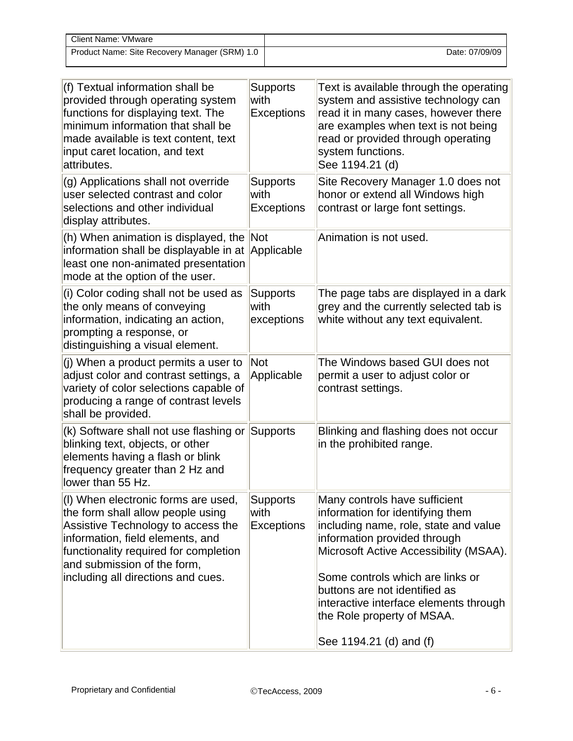| <b>Client Name: VMware</b>                    |                |
|-----------------------------------------------|----------------|
| Product Name: Site Recovery Manager (SRM) 1.0 | Date: 07/09/09 |

| (f) Textual information shall be<br>provided through operating system<br>functions for displaying text. The<br>minimum information that shall be<br>made available is text content, text<br>input caret location, and text<br>attributes.                        | <b>Supports</b><br>with<br><b>Exceptions</b> | Text is available through the operating<br>system and assistive technology can<br>read it in many cases, however there<br>are examples when text is not being<br>read or provided through operating<br>system functions.<br>See 1194.21 (d)                                                                                       |
|------------------------------------------------------------------------------------------------------------------------------------------------------------------------------------------------------------------------------------------------------------------|----------------------------------------------|-----------------------------------------------------------------------------------------------------------------------------------------------------------------------------------------------------------------------------------------------------------------------------------------------------------------------------------|
| (g) Applications shall not override<br>user selected contrast and color<br>selections and other individual<br>display attributes.                                                                                                                                | <b>Supports</b><br>with<br><b>Exceptions</b> | Site Recovery Manager 1.0 does not<br>honor or extend all Windows high<br>contrast or large font settings.                                                                                                                                                                                                                        |
| (h) When animation is displayed, the<br>information shall be displayable in at<br>least one non-animated presentation<br>mode at the option of the user.                                                                                                         | <b>Not</b><br>Applicable                     | Animation is not used.                                                                                                                                                                                                                                                                                                            |
| (i) Color coding shall not be used as<br>the only means of conveying<br>information, indicating an action,<br>prompting a response, or<br>distinguishing a visual element.                                                                                       | <b>Supports</b><br>with<br>exceptions        | The page tabs are displayed in a dark<br>grey and the currently selected tab is<br>white without any text equivalent.                                                                                                                                                                                                             |
| (j) When a product permits a user to<br>adjust color and contrast settings, a<br>variety of color selections capable of<br>producing a range of contrast levels<br>shall be provided.                                                                            | <b>Not</b><br>Applicable                     | The Windows based GUI does not<br>permit a user to adjust color or<br>contrast settings.                                                                                                                                                                                                                                          |
| (k) Software shall not use flashing or<br>blinking text, objects, or other<br>elements having a flash or blink<br>frequency greater than 2 Hz and<br>lower than 55 Hz.                                                                                           | <b>Supports</b>                              | Blinking and flashing does not occur<br>in the prohibited range.                                                                                                                                                                                                                                                                  |
| (I) When electronic forms are used,<br>the form shall allow people using<br>Assistive Technology to access the<br>information, field elements, and<br>functionality required for completion<br>and submission of the form,<br>including all directions and cues. | <b>Supports</b><br>with<br><b>Exceptions</b> | Many controls have sufficient<br>information for identifying them<br>including name, role, state and value<br>information provided through<br>Microsoft Active Accessibility (MSAA).<br>Some controls which are links or<br>buttons are not identified as<br>interactive interface elements through<br>the Role property of MSAA. |
|                                                                                                                                                                                                                                                                  |                                              | See 1194.21 (d) and (f)                                                                                                                                                                                                                                                                                                           |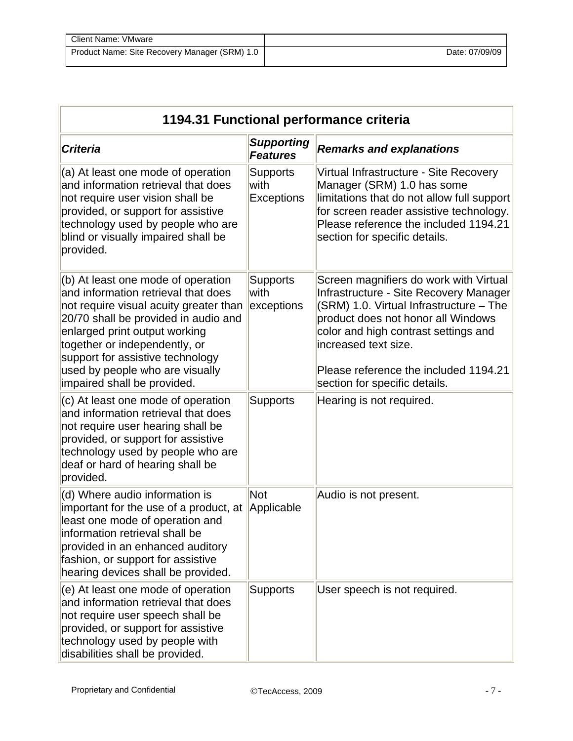| Client Name: VMware                           |                |
|-----------------------------------------------|----------------|
| Product Name: Site Recovery Manager (SRM) 1.0 | Date: 07/09/09 |

| 1194.31 Functional performance criteria                                                                                                                                                                                                                                                                                             |                                              |                                                                                                                                                                                                                                                                                                             |  |
|-------------------------------------------------------------------------------------------------------------------------------------------------------------------------------------------------------------------------------------------------------------------------------------------------------------------------------------|----------------------------------------------|-------------------------------------------------------------------------------------------------------------------------------------------------------------------------------------------------------------------------------------------------------------------------------------------------------------|--|
| <b>Criteria</b>                                                                                                                                                                                                                                                                                                                     | <b>Supporting</b><br><b>Features</b>         | <b>Remarks and explanations</b>                                                                                                                                                                                                                                                                             |  |
| (a) At least one mode of operation<br>and information retrieval that does<br>not require user vision shall be<br>provided, or support for assistive<br>technology used by people who are<br>blind or visually impaired shall be<br>provided.                                                                                        | <b>Supports</b><br>with<br><b>Exceptions</b> | Virtual Infrastructure - Site Recovery<br>Manager (SRM) 1.0 has some<br>limitations that do not allow full support<br>for screen reader assistive technology.<br>Please reference the included 1194.21<br>section for specific details.                                                                     |  |
| (b) At least one mode of operation<br>and information retrieval that does<br>not require visual acuity greater than<br>20/70 shall be provided in audio and<br>enlarged print output working<br>together or independently, or<br>support for assistive technology<br>used by people who are visually<br>impaired shall be provided. | <b>Supports</b><br>with<br>exceptions        | Screen magnifiers do work with Virtual<br>Infrastructure - Site Recovery Manager<br>(SRM) 1.0. Virtual Infrastructure - The<br>product does not honor all Windows<br>color and high contrast settings and<br>increased text size.<br>Please reference the included 1194.21<br>section for specific details. |  |
| (c) At least one mode of operation<br>and information retrieval that does<br>not require user hearing shall be<br>provided, or support for assistive<br>technology used by people who are<br>deaf or hard of hearing shall be<br>provided.                                                                                          | <b>Supports</b>                              | Hearing is not required.                                                                                                                                                                                                                                                                                    |  |
| (d) Where audio information is<br>important for the use of a product, at<br>least one mode of operation and<br>information retrieval shall be<br>provided in an enhanced auditory<br>fashion, or support for assistive<br>hearing devices shall be provided.                                                                        | <b>Not</b><br>Applicable                     | Audio is not present.                                                                                                                                                                                                                                                                                       |  |
| (e) At least one mode of operation<br>and information retrieval that does<br>not require user speech shall be<br>provided, or support for assistive<br>technology used by people with<br>disabilities shall be provided.                                                                                                            | <b>Supports</b>                              | User speech is not required.                                                                                                                                                                                                                                                                                |  |